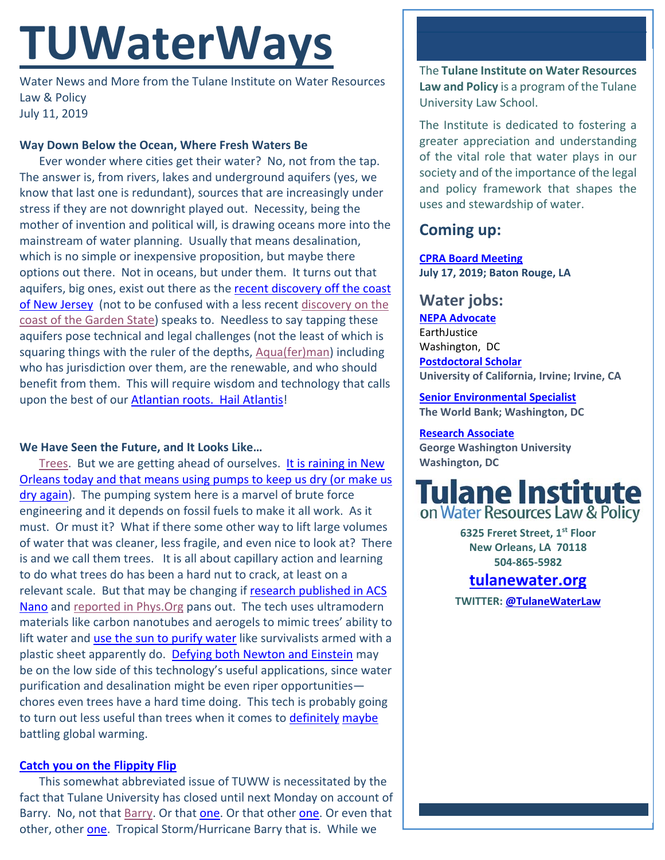# **TUWaterWays**

Water News and More from the Tulane Institute on Water Resources Law & Policy July 11, 2019

#### **Way Down Below the Ocean, Where Fresh Waters Be**

Ever wonder where cities get their water? No, not from the tap. The answer is, from rivers, lakes and underground aquifers (yes, we know that last one is redundant), sources that are increasingly under stress if they are not downright played out. Necessity, being the mother of invention and political will, is drawing oceans more into the mainstream of water planning. Usually that means desalination, which is no simple or inexpensive proposition, but maybe there options out there. Not in oceans, but under them. It turns out that aquifers, big ones, exist out there as the recent discovery off the coast of New Jersey (not to be confused with a less recent discovery on the coast of the Garden State) speaks to. Needless to say tapping these aquifers pose technical and legal challenges (not the least of which is squaring things with the ruler of the depths, Aqua(fer)man) including who has jurisdiction over them, are the renewable, and who should benefit from them. This will require wisdom and technology that calls upon the best of our **Atlantian roots. Hail Atlantis!** 

#### **We Have Seen the Future, and It Looks Like…**

Trees. But we are getting ahead of ourselves. It is raining in New Orleans today and that means using pumps to keep us dry (or make us dry again). The pumping system here is a marvel of brute force engineering and it depends on fossil fuels to make it all work. As it must. Or must it? What if there some other way to lift large volumes of water that was cleaner, less fragile, and even nice to look at? There is and we call them trees. It is all about capillary action and learning to do what trees do has been a hard nut to crack, at least on a relevant scale. But that may be changing if research published in ACS Nano and reported in Phys.Org pans out. The tech uses ultramodern materials like carbon nanotubes and aerogels to mimic trees' ability to lift water and use the sun to purify water like survivalists armed with a plastic sheet apparently do. Defying both Newton and Einstein may be on the low side of this technology's useful applications, since water purification and desalination might be even riper opportunities chores even trees have a hard time doing. This tech is probably going to turn out less useful than trees when it comes to definitely maybe battling global warming.

#### **Catch you on the Flippity Flip**

This somewhat abbreviated issue of TUWW is necessitated by the fact that Tulane University has closed until next Monday on account of Barry. No, not that Barry. Or that one. Or that other one. Or even that other, other one. Tropical Storm/Hurricane Barry that is. While we

The **Tulane Institute on Water Resources Law and Policy** is a program of the Tulane University Law School.

The Institute is dedicated to fostering a greater appreciation and understanding of the vital role that water plays in our society and of the importance of the legal and policy framework that shapes the uses and stewardship of water.

## **Coming up:**

**CPRA Board Meeting July 17, 2019; Baton Rouge, LA** 

## **Water jobs:**

**NEPA Advocate** EarthJustice Washington, DC **Postdoctoral Scholar University of California, Irvine; Irvine, CA** 

**Senior Environmental Specialist The World Bank; Washington, DC** 

### **Research Associate**

**George Washington University Washington, DC**



**6325 Freret Street, 1st Floor New Orleans, LA 70118 504‐865‐5982** 

# **tulanewater.org**

**TWITTER: @TulaneWaterLaw**